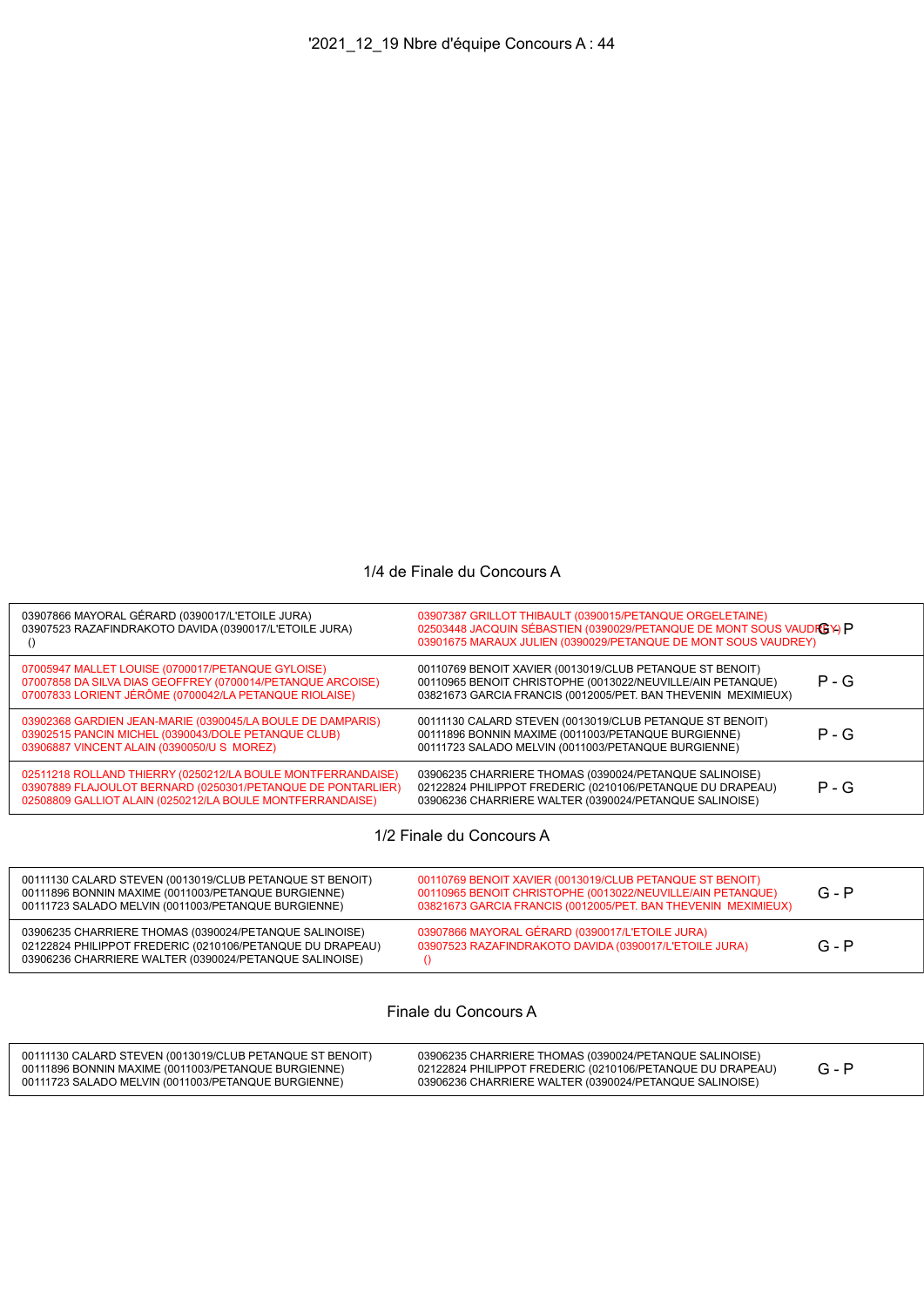## 1/4 de Finale du Concours A

| 03907866 MAYORAL GÉRARD (0390017/L'ETOILE JURA)<br>03907523 RAZAFINDRAKOTO DAVIDA (0390017/L'ETOILE JURA)                                                                               | 03907387 GRILLOT THIBAULT (0390015/PETANQUE ORGELETAINE)<br>02503448 JACQUIN SÉBASTIEN (0390029/PETANQUE DE MONT SOUS VAUDREY) P<br>03901675 MARAUX JULIEN (0390029/PETANQUE DE MONT SOUS VAUDREY) |         |
|-----------------------------------------------------------------------------------------------------------------------------------------------------------------------------------------|----------------------------------------------------------------------------------------------------------------------------------------------------------------------------------------------------|---------|
| 07005947 MALLET LOUISE (0700017/PETANQUE GYLOISE)<br>07007858 DA SILVA DIAS GEOFFREY (0700014/PETANQUE ARCOISE)<br>07007833 LORIENT JÉRÔME (0700042/LA PETANQUE RIOLAISE)               | 00110769 BENOIT XAVIER (0013019/CLUB PETANQUE ST BENOIT)<br>00110965 BENOIT CHRISTOPHE (0013022/NEUVILLE/AIN PETANQUE)<br>03821673 GARCIA FRANCIS (0012005/PET. BAN THEVENIN MEXIMIEUX)            | $P - G$ |
| 03902368 GARDIEN JEAN-MARIE (0390045/LA BOULE DE DAMPARIS)<br>03902515 PANCIN MICHEL (0390043/DOLE PETANQUE CLUB)<br>03906887 VINCENT ALAIN (0390050/U S MOREZ)                         | 00111130 CALARD STEVEN (0013019/CLUB PETANQUE ST BENOIT)<br>00111896 BONNIN MAXIME (0011003/PETANQUE BURGIENNE)<br>00111723 SALADO MELVIN (0011003/PETANQUE BURGIENNE)                             | $P - G$ |
| 02511218 ROLLAND THIERRY (0250212/LA BOULE MONTFERRANDAISE)<br>03907889 FLAJOULOT BERNARD (0250301/PETANQUE DE PONTARLIER)<br>02508809 GALLIOT ALAIN (0250212/LA BOULE MONTFERRANDAISE) | 03906235 CHARRIERE THOMAS (0390024/PETANQUE SALINOISE)<br>02122824 PHILIPPOT FREDERIC (0210106/PETANQUE DU DRAPEAU)<br>03906236 CHARRIERE WALTER (0390024/PETANQUE SALINOISE)                      | $P - G$ |
|                                                                                                                                                                                         |                                                                                                                                                                                                    |         |

1/2 Finale du Concours A

| 00111130 CALARD STEVEN (0013019/CLUB PETANQUE ST BENOIT)<br>00111896 BONNIN MAXIME (0011003/PETANQUE BURGIENNE)<br>00111723 SALADO MELVIN (0011003/PETANQUE BURGIENNE)        | 00110769 BENOIT XAVIER (0013019/CLUB PETANQUE ST BENOIT)<br>00110965 BENOIT CHRISTOPHE (0013022/NEUVILLE/AIN PETANQUE)<br>03821673 GARCIA FRANCIS (0012005/PET. BAN THEVENIN MEXIMIEUX) | $G - P$ |
|-------------------------------------------------------------------------------------------------------------------------------------------------------------------------------|-----------------------------------------------------------------------------------------------------------------------------------------------------------------------------------------|---------|
| 03906235 CHARRIERE THOMAS (0390024/PETANQUE SALINOISE)<br>02122824 PHILIPPOT FREDERIC (0210106/PETANQUE DU DRAPEAU)<br>03906236 CHARRIERE WALTER (0390024/PETANQUE SALINOISE) | 03907866 MAYORAL GÉRARD (0390017/L'ETOILE JURA)<br>03907523 RAZAFINDRAKOTO DAVIDA (0390017/L'ETOILE JURA)                                                                               | $G - P$ |

Finale du Concours A

| 00111130 CALARD STEVEN (0013019/CLUB PETANQUE ST BENOIT)<br>00111896 BONNIN MAXIME (0011003/PETANQUE BURGIENNE)<br>00111723 SALADO MELVIN (0011003/PETANQUE BURGIENNE) | 03906235 CHARRIERE THOMAS (0390024/PETANQUE SALINOISE)<br>02122824 PHILIPPOT FREDERIC (0210106/PETANQUE DU DRAPEAU)<br>03906236 CHARRIERE WALTER (0390024/PETANQUE SALINOISE) |  |  |
|------------------------------------------------------------------------------------------------------------------------------------------------------------------------|-------------------------------------------------------------------------------------------------------------------------------------------------------------------------------|--|--|
|------------------------------------------------------------------------------------------------------------------------------------------------------------------------|-------------------------------------------------------------------------------------------------------------------------------------------------------------------------------|--|--|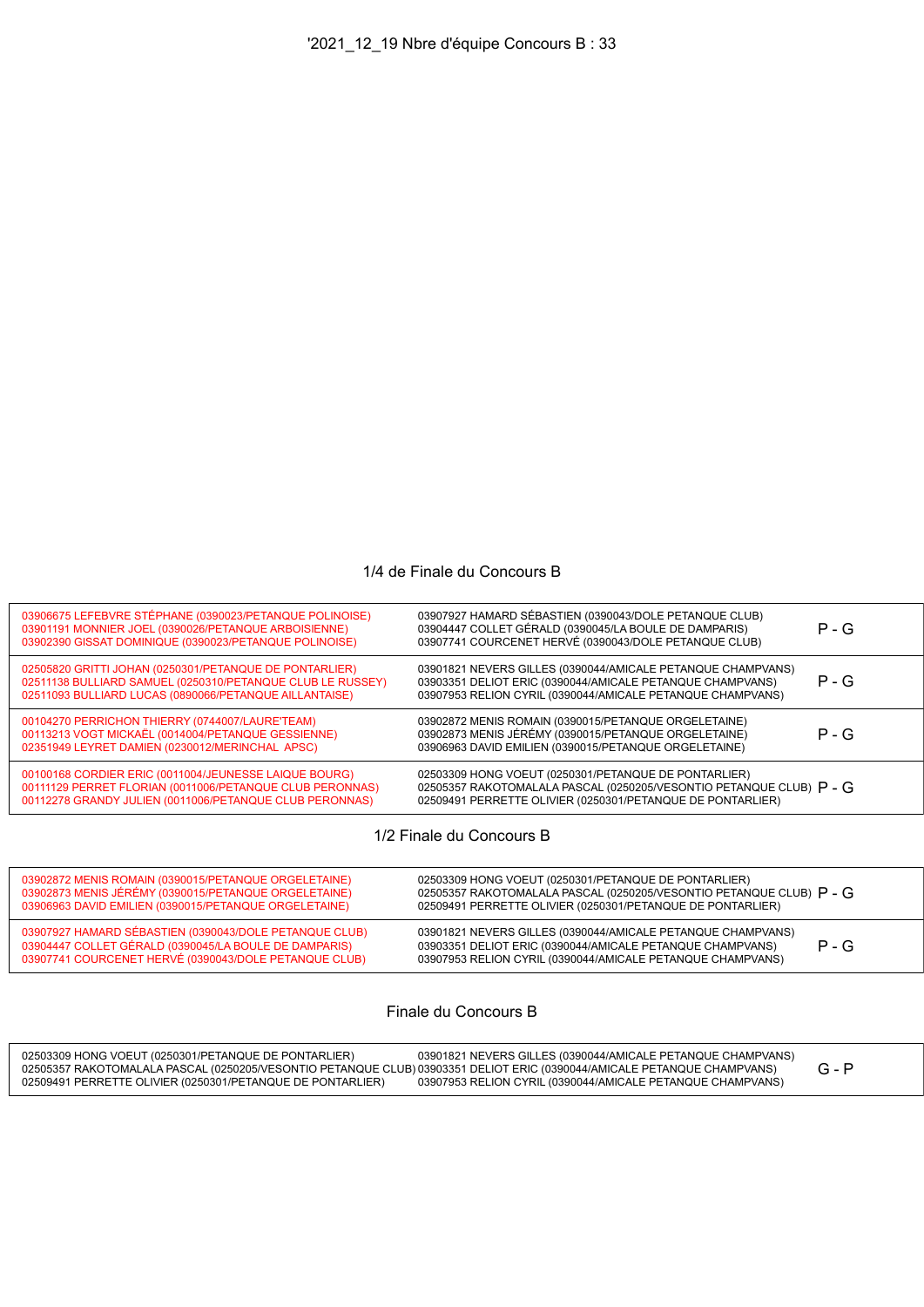## 1/4 de Finale du Concours B

| 03906675 LEFEBVRE STÉPHANE (0390023/PETANQUE POLINOISE)<br>03901191 MONNIER JOEL (0390026/PETANQUE ARBOISIENNE)<br>03902390 GISSAT DOMINIQUE (0390023/PETANQUE POLINOISE)      | 03907927 HAMARD SÉBASTIEN (0390043/DOLE PETANQUE CLUB)<br>03904447 COLLET GÉRALD (0390045/LA BOULE DE DAMPARIS)<br>03907741 COURCENET HERVÉ (0390043/DOLE PETANQUE CLUB)                    | $P - G$ |
|--------------------------------------------------------------------------------------------------------------------------------------------------------------------------------|---------------------------------------------------------------------------------------------------------------------------------------------------------------------------------------------|---------|
| 02505820 GRITTI JOHAN (0250301/PETANQUE DE PONTARLIER)<br>02511138 BULLIARD SAMUEL (0250310/PETANQUE CLUB LE RUSSEY)<br>02511093 BULLIARD LUCAS (0890066/PETANQUE AILLANTAISE) | 03901821 NEVERS GILLES (0390044/AMICALE PETANQUE CHAMPVANS)<br>03903351 DELIOT ERIC (0390044/AMICALE PETANQUE CHAMPVANS)<br>03907953 RELION CYRIL (0390044/AMICALE PETANQUE CHAMPVANS)      | $P - G$ |
| 00104270 PERRICHON THIERRY (0744007/LAURE'TEAM)<br>00113213 VOGT MICKAËL (0014004/PETANQUE GESSIENNE)<br>02351949 LEYRET DAMIEN (0230012/MERINCHAL APSC)                       | 03902872 MENIS ROMAIN (0390015/PETANQUE ORGELETAINE)<br>03902873 MENIS JÉRÉMY (0390015/PETANQUE ORGELETAINE)<br>03906963 DAVID EMILIEN (0390015/PETANQUE ORGELETAINE)                       | $P - G$ |
| 00100168 CORDIER ERIC (0011004/JEUNESSE LAIQUE BOURG)<br>00111129 PERRET FLORIAN (0011006/PETANQUE CLUB PERONNAS)<br>00112278 GRANDY JULIEN (0011006/PETANQUE CLUB PERONNAS)   | 02503309 HONG VOEUT (0250301/PETANQUE DE PONTARLIER)<br>02505357 RAKOTOMALALA PASCAL (0250205/VESONTIO PETANQUE CLUB) $P - G$<br>02509491 PERRETTE OLIVIER (0250301/PETANQUE DE PONTARLIER) |         |
|                                                                                                                                                                                |                                                                                                                                                                                             |         |

1/2 Finale du Concours B

| 03902872 MENIS ROMAIN (0390015/PETANQUE ORGELETAINE)                                                                                                                     | 02503309 HONG VOEUT (0250301/PETANQUE DE PONTARLIER)                                                                                                                                              |
|--------------------------------------------------------------------------------------------------------------------------------------------------------------------------|---------------------------------------------------------------------------------------------------------------------------------------------------------------------------------------------------|
| 03902873 MENIS JÉRÉMY (0390015/PETANQUE ORGELETAINE)                                                                                                                     | 02505357 RAKOTOMALALA PASCAL (0250205/VESONTIO PETANQUE CLUB) $\mathsf{P}$ - G                                                                                                                    |
| 03906963 DAVID EMILIEN (0390015/PETANQUE ORGELETAINE)                                                                                                                    | 02509491 PERRETTE OLIVIER (0250301/PETANQUE DE PONTARLIER)                                                                                                                                        |
| 03907927 HAMARD SÉBASTIEN (0390043/DOLE PETANQUE CLUB)<br>03904447 COLLET GÉRALD (0390045/LA BOULE DE DAMPARIS)<br>03907741 COURCENET HERVÉ (0390043/DOLE PETANQUE CLUB) | 03901821 NEVERS GILLES (0390044/AMICALE PETANQUE CHAMPVANS)<br>$P - G$<br>03903351 DELIOT ERIC (0390044/AMICALE PETANQUE CHAMPVANS)<br>03907953 RELION CYRIL (0390044/AMICALE PETANQUE CHAMPVANS) |

## Finale du Concours B

| 02503309 HONG VOEUT (0250301/PETANOUE DE PONTARLIER)                                                                    | 03901821 NEVERS GILLES (0390044/AMICALE PETANOUE CHAMPVANS) |  |
|-------------------------------------------------------------------------------------------------------------------------|-------------------------------------------------------------|--|
| 02505357 RAKOTOMALALA PASCAL (0250205/VESONTIO PETANQUE CLUB) 03903351 DELIOT ERIC (0390044/AMICALE PETANQUE CHAMPVANS) |                                                             |  |
| 02509491 PERRETTE OLIVIER (0250301/PETANQUE DE PONTARLIER)                                                              | 03907953 RELION CYRIL (0390044/AMICALE PETANQUE CHAMPVANS)  |  |